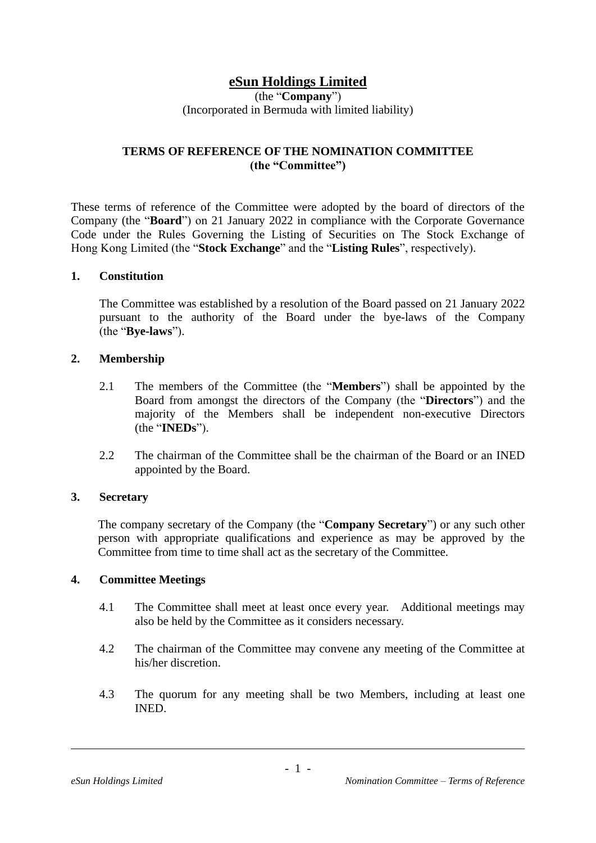# **eSun Holdings Limited**

(the "**Company**") (Incorporated in Bermuda with limited liability)

# **TERMS OF REFERENCE OF THE NOMINATION COMMITTEE (the "Committee")**

These terms of reference of the Committee were adopted by the board of directors of the Company (the "**Board**") on 21 January 2022 in compliance with the Corporate Governance Code under the Rules Governing the Listing of Securities on The Stock Exchange of Hong Kong Limited (the "**Stock Exchange**" and the "**Listing Rules**", respectively).

### **1. Constitution**

The Committee was established by a resolution of the Board passed on 21 January 2022 pursuant to the authority of the Board under the bye-laws of the Company (the "**Bye-laws**").

### **2. Membership**

- 2.1 The members of the Committee (the "**Members**") shall be appointed by the Board from amongst the directors of the Company (the "**Directors**") and the majority of the Members shall be independent non-executive Directors (the "**INEDs**").
- 2.2 The chairman of the Committee shall be the chairman of the Board or an INED appointed by the Board.

### **3. Secretary**

The company secretary of the Company (the "**Company Secretary**") or any such other person with appropriate qualifications and experience as may be approved by the Committee from time to time shall act as the secretary of the Committee.

### **4. Committee Meetings**

- 4.1 The Committee shall meet at least once every year. Additional meetings may also be held by the Committee as it considers necessary.
- 4.2 The chairman of the Committee may convene any meeting of the Committee at his/her discretion.
- 4.3 The quorum for any meeting shall be two Members, including at least one INED.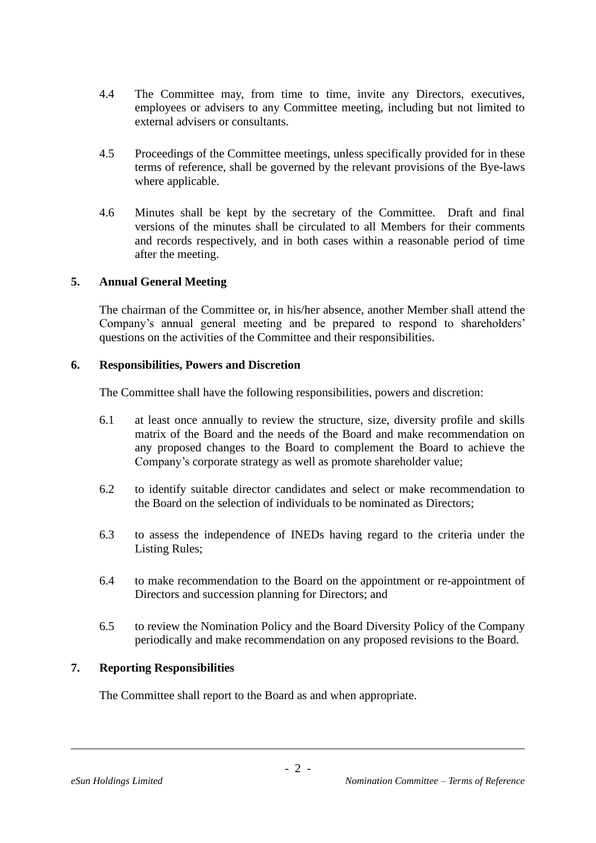- 4.4 The Committee may, from time to time, invite any Directors, executives, employees or advisers to any Committee meeting, including but not limited to external advisers or consultants.
- 4.5 Proceedings of the Committee meetings, unless specifically provided for in these terms of reference, shall be governed by the relevant provisions of the Bye-laws where applicable.
- 4.6 Minutes shall be kept by the secretary of the Committee. Draft and final versions of the minutes shall be circulated to all Members for their comments and records respectively, and in both cases within a reasonable period of time after the meeting.

## **5. Annual General Meeting**

The chairman of the Committee or, in his/her absence, another Member shall attend the Company's annual general meeting and be prepared to respond to shareholders' questions on the activities of the Committee and their responsibilities.

## **6. Responsibilities, Powers and Discretion**

The Committee shall have the following responsibilities, powers and discretion:

- 6.1 at least once annually to review the structure, size, diversity profile and skills matrix of the Board and the needs of the Board and make recommendation on any proposed changes to the Board to complement the Board to achieve the Company's corporate strategy as well as promote shareholder value;
- 6.2 to identify suitable director candidates and select or make recommendation to the Board on the selection of individuals to be nominated as Directors;
- 6.3 to assess the independence of INEDs having regard to the criteria under the Listing Rules;
- 6.4 to make recommendation to the Board on the appointment or re-appointment of Directors and succession planning for Directors; and
- 6.5 to review the Nomination Policy and the Board Diversity Policy of the Company periodically and make recommendation on any proposed revisions to the Board.

## **7. Reporting Responsibilities**

The Committee shall report to the Board as and when appropriate.